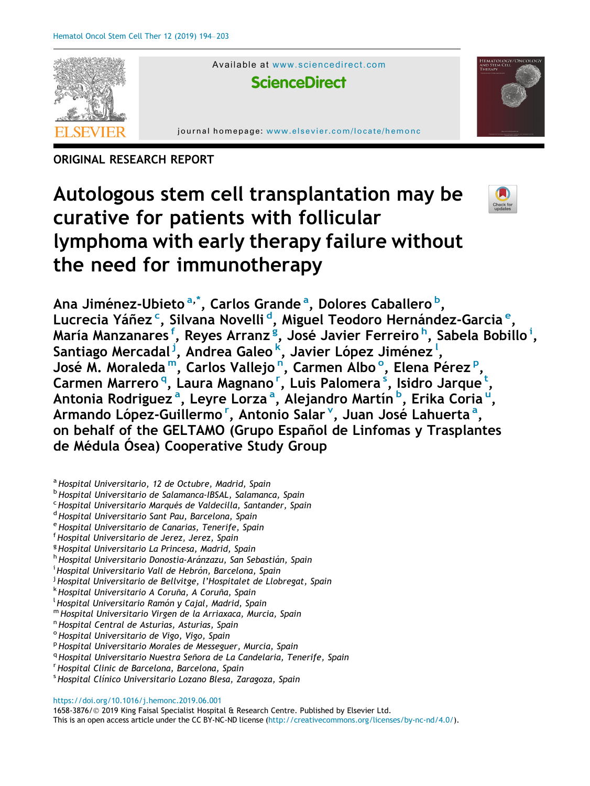

Available at <www.sciencedirect.com>

**ScienceDirect**

journal homepage: [www.elsevier.com/locate/hemonc](http://www.elsevier.com/locate/hemonc)

ORIGINAL RESEARCH REPORT

# Autologous stem cell transplantation may be curative for patients with follicular lymphoma with early therapy failure without the need for immunotherapy



- <sup>a</sup> Hospital Universitario, 12 de Octubre, Madrid, Spain
- <sup>b</sup> Hospital Universitario de Salamanca-IBSAL, Salamanca, Spain
- <sup>c</sup> Hospital Universitario Marqués de Valdecilla, Santander, Spain <sup>d</sup>Hospital Universitario Sant Pau, Barcelona, Spain
- 
- e Hospital Universitario de Canarias, Tenerife, Spain
- <sup>f</sup> Hospital Universitario de Jerez, Jerez, Spain
- <sup>g</sup> Hospital Universitario La Princesa, Madrid, Spain
- h Hospital Universitario Donostia-Aránzazu, San Sebastián, Spain
- <sup>i</sup> Hospital Universitario Vall de Hebrón, Barcelona, Spain
- <sup>i</sup> Hospital Universitario de Bellvitge, l'Hospitalet de Llobregat, Spain
- 
- <sup>k</sup> Hospital Universitario A Coruña, A Coruña, Spain<br><sup>l</sup> Hospital Universitario Ramón y Cajal, Madrid, Spain
- <sup>m</sup> Hospital Universitario Virgen de la Arriaxaca, Murcia, Spain in Bospital Central de Asturias, Asturias, Spain
- 
- <sup>o</sup> Hospital Universitario de Vigo, Vigo, Spain
- <sup>p</sup> Hospital Universitario Morales de Messeguer, Murcia, Spain
- <sup>q</sup> Hospital Universitario Nuestra Señora de La Candelaria, Tenerife, Spain
- Hospital Clinic de Barcelona, Barcelona, Spain
- <sup>s</sup> Hospital Clínico Universitario Lozano Blesa, Zaragoza, Spain

<https://doi.org/10.1016/j.hemonc.2019.06.001>

1658-3876/ 2019 King Faisal Specialist Hospital & Research Centre. Published by Elsevier Ltd.

This is an open access article under the CC BY-NC-ND license [\(http://creativecommons.org/licenses/by-nc-nd/4.0/](http://creativecommons.org/licenses/by-nc-nd/4.0/)).

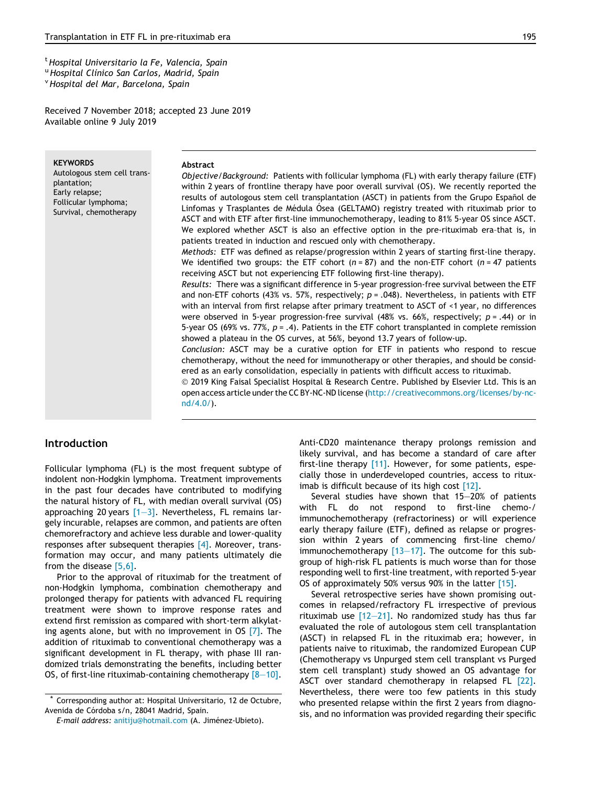<span id="page-1-0"></span>Received 7 November 2018; accepted 23 June 2019 Available online 9 July 2019

**KEYWORDS** Autologous stem cell transplantation; Early relapse; Follicular lymphoma; Survival, chemotherapy

## Abstract

Objective/Background: Patients with follicular lymphoma (FL) with early therapy failure (ETF) within 2 years of frontline therapy have poor overall survival (OS). We recently reported the results of autologous stem cell transplantation (ASCT) in patients from the Grupo Español de Linfomas y Trasplantes de Médula Ósea (GELTAMO) registry treated with rituximab prior to ASCT and with ETF after first-line immunochemotherapy, leading to 81% 5-year OS since ASCT. We explored whether ASCT is also an effective option in the pre-rituximab era-that is, in patients treated in induction and rescued only with chemotherapy.

Methods: ETF was defined as relapse/progression within 2 years of starting first-line therapy. We identified two groups: the ETF cohort ( $n = 87$ ) and the non-ETF cohort ( $n = 47$  patients receiving ASCT but not experiencing ETF following first-line therapy).

Results: There was a significant difference in 5-year progression-free survival between the ETF and non-ETF cohorts (43% vs. 57%, respectively;  $p = .048$ ). Nevertheless, in patients with ETF with an interval from first relapse after primary treatment to ASCT of <1 year, no differences were observed in 5-year progression-free survival (48% vs. 66%, respectively;  $p = .44$ ) or in 5-year OS (69% vs. 77%,  $p = .4$ ). Patients in the ETF cohort transplanted in complete remission showed a plateau in the OS curves, at 56%, beyond 13.7 years of follow-up.

Conclusion: ASCT may be a curative option for ETF in patients who respond to rescue chemotherapy, without the need for immunotherapy or other therapies, and should be considered as an early consolidation, especially in patients with difficult access to rituximab.

 2019 King Faisal Specialist Hospital & Research Centre. Published by Elsevier Ltd. This is an open access article under the CC BY-NC-ND license ([http://creativecommons.org/licenses/by-nc](http://creativecommons.org/licenses/by-nc-nd/4.0/)[nd/4.0/](http://creativecommons.org/licenses/by-nc-nd/4.0/)).

# Introduction

Follicular lymphoma (FL) is the most frequent subtype of indolent non-Hodgkin lymphoma. Treatment improvements in the past four decades have contributed to modifying the natural history of FL, with median overall survival (OS) approaching 20 years  $[1-3]$ . Nevertheless, FL remains largely incurable, relapses are common, and patients are often chemorefractory and achieve less durable and lower-quality responses after subsequent therapies  $[4]$ . Moreover, transformation may occur, and many patients ultimately die from the disease [\[5,6\].](#page-8-0)

Prior to the approval of rituximab for the treatment of non-Hodgkin lymphoma, combination chemotherapy and prolonged therapy for patients with advanced FL requiring treatment were shown to improve response rates and extend first remission as compared with short-term alkylating agents alone, but with no improvement in OS  $[7]$ . The addition of rituximab to conventional chemotherapy was a significant development in FL therapy, with phase III randomized trials demonstrating the benefits, including better OS, of first-line rituximab-containing chemotherapy  $[8-10]$ . Anti-CD20 maintenance therapy prolongs remission and likely survival, and has become a standard of care after first-line therapy [\[11\].](#page-8-0) However, for some patients, especially those in underdeveloped countries, access to ritux-imab is difficult because of its high cost [\[12\].](#page-8-0)

Several studies have shown that 15–20% of patients with FL do not respond to first-line chemo-/ immunochemotherapy (refractoriness) or will experience early therapy failure (ETF), defined as relapse or progression within 2 years of commencing first-line chemo/ immunochemotherapy [13-17]. The outcome for this subgroup of high-risk FL patients is much worse than for those responding well to first-line treatment, with reported 5-year OS of approximately 50% versus 90% in the latter [\[15\].](#page-8-0)

Several retrospective series have shown promising outcomes in relapsed/refractory FL irrespective of previous rituximab use [\[12–21\].](#page-8-0) No randomized study has thus far evaluated the role of autologous stem cell transplantation (ASCT) in relapsed FL in the rituximab era; however, in patients naive to rituximab, the randomized European CUP (Chemotherapy vs Unpurged stem cell transplant vs Purged stem cell transplant) study showed an OS advantage for ASCT over standard chemotherapy in relapsed FL [\[22\]](#page-8-0). Nevertheless, there were too few patients in this study who presented relapse within the first 2 years from diagnosis, and no information was provided regarding their specific

Corresponding author at: Hospital Universitario, 12 de Octubre, Avenida de Córdoba s/n, 28041 Madrid, Spain.

E-mail address: [anitiju@hotmail.com](mailto:anitiju@hotmail.com) (A. Jiménez-Ubieto).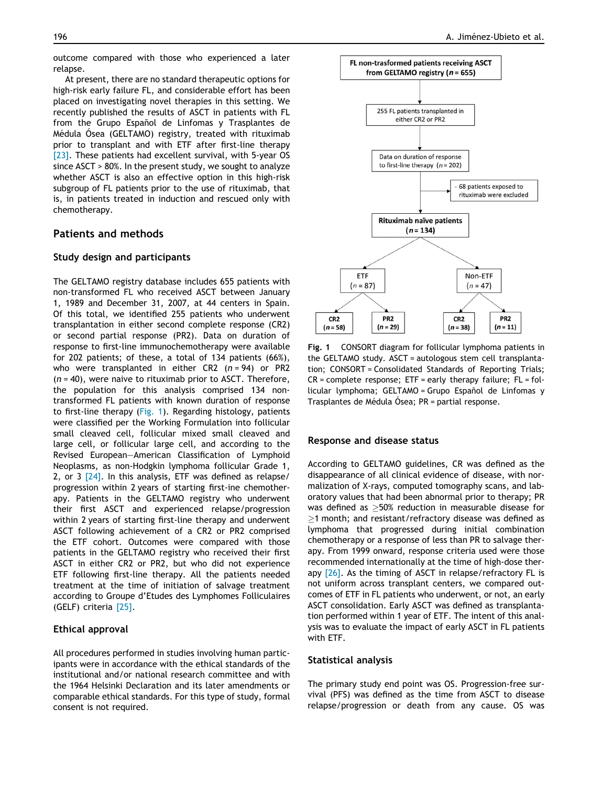outcome compared with those who experienced a later relapse.

At present, there are no standard therapeutic options for high-risk early failure FL, and considerable effort has been placed on investigating novel therapies in this setting. We recently published the results of ASCT in patients with FL from the Grupo Español de Linfomas y Trasplantes de Médula Ósea (GELTAMO) registry, treated with rituximab prior to transplant and with ETF after first-line therapy [\[23\].](#page-8-0) These patients had excellent survival, with 5-year OS since ASCT > 80%. In the present study, we sought to analyze whether ASCT is also an effective option in this high-risk subgroup of FL patients prior to the use of rituximab, that is, in patients treated in induction and rescued only with chemotherapy.

# Patients and methods

### Study design and participants

The GELTAMO registry database includes 655 patients with non-transformed FL who received ASCT between January 1, 1989 and December 31, 2007, at 44 centers in Spain. Of this total, we identified 255 patients who underwent transplantation in either second complete response (CR2) or second partial response (PR2). Data on duration of response to first-line immunochemotherapy were available for 202 patients; of these, a total of 134 patients (66%), who were transplanted in either CR2  $(n = 94)$  or PR2  $(n = 40)$ , were naive to rituximab prior to ASCT. Therefore, the population for this analysis comprised 134 nontransformed FL patients with known duration of response to first-line therapy (Fig. 1). Regarding histology, patients were classified per the Working Formulation into follicular small cleaved cell, follicular mixed small cleaved and large cell, or follicular large cell, and according to the Revised European–American Classification of Lymphoid Neoplasms, as non-Hodgkin lymphoma follicular Grade 1, 2, or 3 [\[24\].](#page-8-0) In this analysis, ETF was defined as relapse/ progression within 2 years of starting first-ine chemotherapy. Patients in the GELTAMO registry who underwent their first ASCT and experienced relapse/progression within 2 years of starting first-line therapy and underwent ASCT following achievement of a CR2 or PR2 comprised the ETF cohort. Outcomes were compared with those patients in the GELTAMO registry who received their first ASCT in either CR2 or PR2, but who did not experience ETF following first-line therapy. All the patients needed treatment at the time of initiation of salvage treatment according to Groupe d'Etudes des Lymphomes Folliculaires (GELF) criteria [\[25\]](#page-8-0).

# Ethical approval

All procedures performed in studies involving human participants were in accordance with the ethical standards of the institutional and/or national research committee and with the 1964 Helsinki Declaration and its later amendments or comparable ethical standards. For this type of study, formal consent is not required.



Fig. 1 CONSORT diagram for follicular lymphoma patients in the GELTAMO study. ASCT = autologous stem cell transplantation; CONSORT = Consolidated Standards of Reporting Trials;  $CR = complete response$ ;  $ETF = early therapy failure$ ;  $FL = fol$ licular lymphoma; GELTAMO = Grupo Español de Linfomas y Trasplantes de Médula Ósea; PR = partial response.

## Response and disease status

According to GELTAMO guidelines, CR was defined as the disappearance of all clinical evidence of disease, with normalization of X-rays, computed tomography scans, and laboratory values that had been abnormal prior to therapy; PR was defined as  $\geq$ 50% reduction in measurable disease for >1 month; and resistant/refractory disease was defined as lymphoma that progressed during initial combination chemotherapy or a response of less than PR to salvage therapy. From 1999 onward, response criteria used were those recommended internationally at the time of high-dose ther-apy [\[26\]](#page-8-0). As the timing of ASCT in relapse/refractory FL is not uniform across transplant centers, we compared outcomes of ETF in FL patients who underwent, or not, an early ASCT consolidation. Early ASCT was defined as transplantation performed within 1 year of ETF. The intent of this analysis was to evaluate the impact of early ASCT in FL patients with ETF.

#### Statistical analysis

The primary study end point was OS. Progression-free survival (PFS) was defined as the time from ASCT to disease relapse/progression or death from any cause. OS was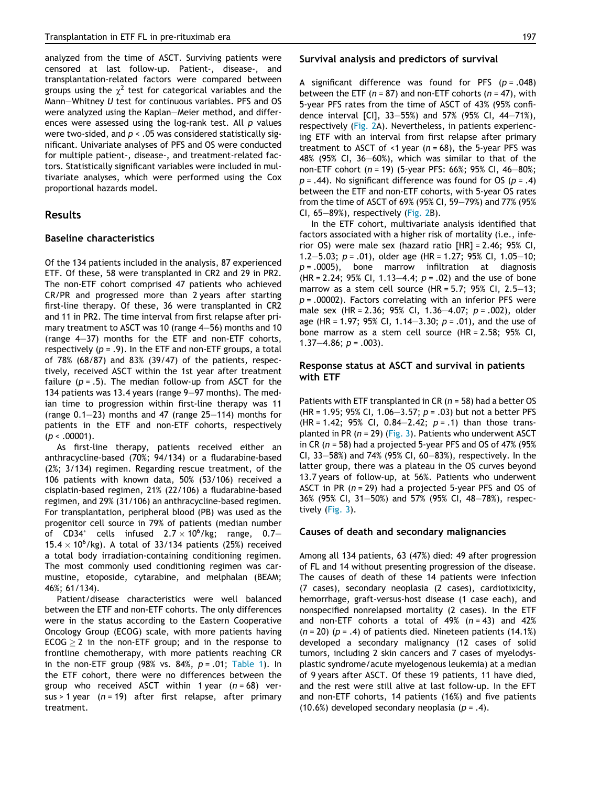analyzed from the time of ASCT. Surviving patients were censored at last follow-up. Patient-, disease-, and transplantation-related factors were compared between groups using the  $\chi^2$  test for categorical variables and the Mann–Whitney U test for continuous variables. PFS and OS were analyzed using the Kaplan–Meier method, and differences were assessed using the log-rank test. All p values were two-sided, and  $p < .05$  was considered statistically significant. Univariate analyses of PFS and OS were conducted for multiple patient-, disease-, and treatment-related factors. Statistically significant variables were included in multivariate analyses, which were performed using the Cox proportional hazards model.

## Results

## Baseline characteristics

Of the 134 patients included in the analysis, 87 experienced ETF. Of these, 58 were transplanted in CR2 and 29 in PR2. The non-ETF cohort comprised 47 patients who achieved CR/PR and progressed more than 2 years after starting first-line therapy. Of these, 36 were transplanted in CR2 and 11 in PR2. The time interval from first relapse after primary treatment to ASCT was 10 (range 4–56) months and 10 (range 4–37) months for the ETF and non-ETF cohorts, respectively ( $p = .9$ ). In the ETF and non-ETF groups, a total of 78% (68/87) and 83% (39/47) of the patients, respectively, received ASCT within the 1st year after treatment failure ( $p = .5$ ). The median follow-up from ASCT for the 134 patients was 13.4 years (range 9–97 months). The median time to progression within first-line therapy was 11 (range 0.1–23) months and 47 (range 25–114) months for patients in the ETF and non-ETF cohorts, respectively  $(p < .00001)$ .

As first-line therapy, patients received either an anthracycline-based (70%; 94/134) or a fludarabine-based (2%; 3/134) regimen. Regarding rescue treatment, of the 106 patients with known data, 50% (53/106) received a cisplatin-based regimen, 21% (22/106) a fludarabine-based regimen, and 29% (31/106) an anthracycline-based regimen. For transplantation, peripheral blood (PB) was used as the progenitor cell source in 79% of patients (median number of CD34<sup>+</sup> cells infused  $2.7 \times 10^6$ /kg; range, 0.7–  $15.4 \times 10^{6}$ /kg). A total of 33/134 patients (25%) received a total body irradiation-containing conditioning regimen. The most commonly used conditioning regimen was carmustine, etoposide, cytarabine, and melphalan (BEAM; 46%; 61/134).

Patient/disease characteristics were well balanced between the ETF and non-ETF cohorts. The only differences were in the status according to the Eastern Cooperative Oncology Group (ECOG) scale, with more patients having  $ECOG > 2$  in the non-ETF group; and in the response to frontline chemotherapy, with more patients reaching CR in the non-ETF group (98% vs. 84%,  $p = .01$ ; [Table 1](#page-4-0)). In the ETF cohort, there were no differences between the group who received ASCT within 1 year  $(n = 68)$  versus > 1 year  $(n = 19)$  after first relapse, after primary treatment.

#### Survival analysis and predictors of survival

A significant difference was found for PFS  $(p = .048)$ between the ETF ( $n = 87$ ) and non-ETF cohorts ( $n = 47$ ), with 5-year PFS rates from the time of ASCT of 43% (95% confidence interval [CI], 33–55%) and 57% (95% CI, 44–71%), respectively [\(Fig. 2](#page-6-0)A). Nevertheless, in patients experiencing ETF with an interval from first relapse after primary treatment to ASCT of <1 year ( $n = 68$ ), the 5-year PFS was 48% (95% CI, 36–60%), which was similar to that of the non-ETF cohort (n = 19) (5-year PFS: 66%; 95% CI, 46–80%;  $p = .44$ ). No significant difference was found for OS ( $p = .4$ ) between the ETF and non-ETF cohorts, with 5-year OS rates from the time of ASCT of 69% (95% CI, 59–79%) and 77% (95% CI,  $65-89%$ ), respectively [\(Fig. 2](#page-6-0)B).

In the ETF cohort, multivariate analysis identified that factors associated with a higher risk of mortality (i.e., inferior OS) were male sex (hazard ratio [HR] = 2.46; 95% CI, 1.2–5.03;  $p = .01$ , older age (HR = 1.27; 95% CI, 1.05–10;  $p = .0005$ ), bone marrow infiltration at diagnosis (HR = 2.24; 95% CI, 1.13-4.4;  $p = .02$ ) and the use of bone marrow as a stem cell source (HR = 5.7; 95% CI, 2.5-13;  $p = .00002$ ). Factors correlating with an inferior PFS were male sex (HR = 2.36; 95% CI, 1.36-4.07;  $p = .002$ ), older age (HR = 1.97; 95% CI, 1.14–3.30;  $p = .01$ ), and the use of bone marrow as a stem cell source (HR = 2.58; 95% CI, 1.37–4.86;  $p = .003$ ).

## Response status at ASCT and survival in patients with ETF

Patients with ETF transplanted in CR ( $n = 58$ ) had a better OS (HR = 1.95; 95% CI, 1.06-3.57;  $p = .03$ ) but not a better PFS (HR = 1.42; 95% CI, 0.84-2.42;  $p = .1$ ) than those transplanted in PR  $(n = 29)$  [\(Fig. 3](#page-6-0)). Patients who underwent ASCT in CR ( $n = 58$ ) had a projected 5-year PFS and OS of 47% (95%) CI, 33–58%) and 74% (95% CI, 60–83%), respectively. In the latter group, there was a plateau in the OS curves beyond 13.7 years of follow-up, at 56%. Patients who underwent ASCT in PR  $(n = 29)$  had a projected 5-year PFS and OS of 36% (95% CI, 31–50%) and 57% (95% CI, 48–78%), respectively ([Fig. 3\)](#page-6-0).

## Causes of death and secondary malignancies

Among all 134 patients, 63 (47%) died: 49 after progression of FL and 14 without presenting progression of the disease. The causes of death of these 14 patients were infection (7 cases), secondary neoplasia (2 cases), cardiotixicity, hemorrhage, graft-versus-host disease (1 case each), and nonspecified nonrelapsed mortality (2 cases). In the ETF and non-ETF cohorts a total of  $49\%$  ( $n = 43$ ) and  $42\%$  $(n = 20)$  (p = .4) of patients died. Nineteen patients (14.1%) developed a secondary malignancy (12 cases of solid tumors, including 2 skin cancers and 7 cases of myelodysplastic syndrome/acute myelogenous leukemia) at a median of 9 years after ASCT. Of these 19 patients, 11 have died, and the rest were still alive at last follow-up. In the EFT and non-ETF cohorts, 14 patients (16%) and five patients (10.6%) developed secondary neoplasia ( $p = .4$ ).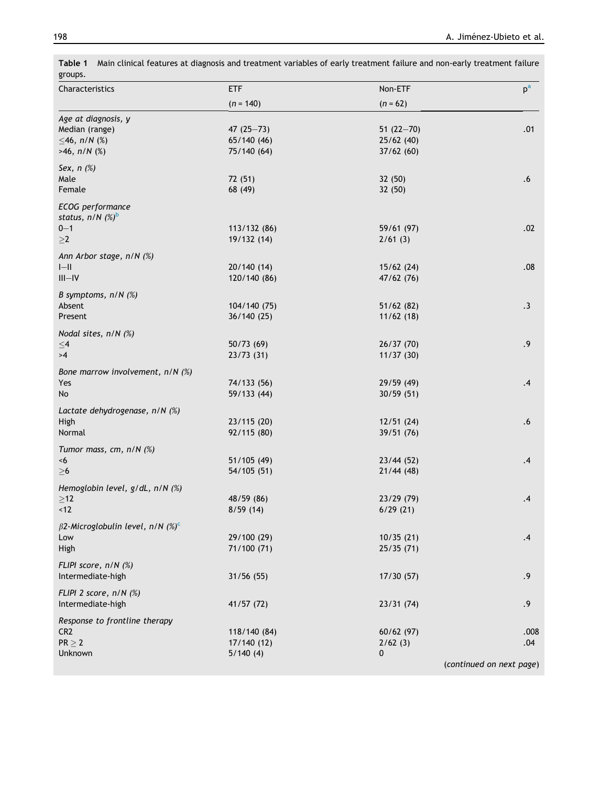| groups.                                            |                            |                        |                          |
|----------------------------------------------------|----------------------------|------------------------|--------------------------|
| Characteristics                                    | <b>ETF</b>                 | Non-ETF                | $p^{\mathrm{a}}$         |
|                                                    | $(n = 140)$                | $(n = 62)$             |                          |
| Age at diagnosis, y                                |                            |                        |                          |
| Median (range)                                     | 47 $(25 - 73)$             | 51 $(22-70)$           | .01                      |
| $\leq$ 46, n/N (%)                                 | 65/140 (46)                | 25/62(40)              |                          |
| $>46$ , $n/N$ (%)                                  | 75/140 (64)                | 37/62(60)              |                          |
| Sex, $n$ $(\%)$                                    |                            |                        |                          |
| Male                                               | 72 (51)                    | 32 (50)                | .6                       |
| Female                                             | 68 (49)                    | 32 (50)                |                          |
| ECOG performance<br>status, $n/N$ (%) <sup>b</sup> |                            |                        |                          |
| $0 - 1$                                            | 113/132 (86)               | 59/61 (97)             | .02                      |
| $\geq$ 2                                           | 19/132 (14)                | 2/61(3)                |                          |
|                                                    |                            |                        |                          |
| Ann Arbor stage, n/N (%)<br>$I-I$                  |                            |                        | .08                      |
|                                                    | 20/140(14)                 | 15/62(24)              |                          |
| $III - IV$                                         | 120/140 (86)               | 47/62 (76)             |                          |
| B symptoms, $n/N$ (%)<br>Absent                    |                            |                        |                          |
| Present                                            | 104/140 (75)<br>36/140(25) | 51/62(82)<br>11/62(18) | $\cdot$ 3                |
|                                                    |                            |                        |                          |
| Nodal sites, n/N (%)                               |                            |                        |                          |
| ${\leq}4$                                          | 50/73(69)                  | 26/37(70)              | .9                       |
| >4                                                 | 23/73(31)                  | 11/37(30)              |                          |
| Bone marrow involvement, n/N (%)                   |                            |                        |                          |
| Yes                                                | 74/133 (56)                | 29/59(49)              | .4                       |
| No                                                 | 59/133 (44)                | 30/59(51)              |                          |
| Lactate dehydrogenase, n/N (%)                     |                            |                        |                          |
| High                                               | 23/115 (20)                | 12/51(24)              | .6                       |
| Normal                                             | 92/115 (80)                | 39/51 (76)             |                          |
| Tumor mass, cm, n/N (%)                            |                            |                        |                          |
| <6                                                 | 51/105 (49)                | 23/44(52)              | $\cdot$                  |
| $\geq 6$                                           | 54/105 (51)                | 21/44(48)              |                          |
| Hemoglobin level, g/dL, n/N (%)                    |                            |                        |                          |
| ${\geq}12$                                         | 48/59 (86)                 | 23/29 (79)             | .4                       |
| $<12$                                              | 8/59(14)                   | 6/29(21)               |                          |
| $\beta$ 2-Microglobulin level, n/N $(\%)^c$        |                            |                        |                          |
| Low                                                | 29/100 (29)                | 10/35(21)              | $\cdot$                  |
| High                                               | 71/100 (71)                | 25/35(71)              |                          |
| FLIPI score, n/N (%)                               |                            |                        |                          |
| Intermediate-high                                  | 31/56(55)                  | 17/30(57)              | .9                       |
| FLIPI 2 score, n/N (%)                             |                            |                        |                          |
| Intermediate-high                                  | 41/57 (72)                 | 23/31(74)              | .9                       |
| Response to frontline therapy                      |                            |                        |                          |
| CR <sub>2</sub>                                    | 118/140 (84)               | 60/62(97)              | .008                     |
| $PR \geq 2$                                        | 17/140(12)                 | 2/62(3)                | .04                      |
| Unknown                                            | 5/140(4)                   | 0                      |                          |
|                                                    |                            |                        | (continued on next page) |

<span id="page-4-0"></span>Table 1 Main clinical features at diagnosis and treatment variables of early treatment failure and non-early treatment failure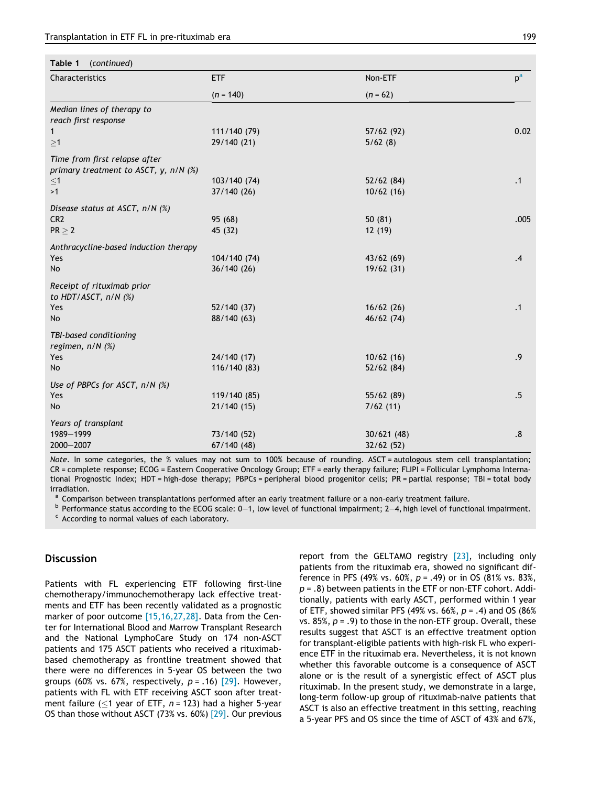<span id="page-5-0"></span>

| Table 1<br>(continued)                                                      |              |                       |       |  |
|-----------------------------------------------------------------------------|--------------|-----------------------|-------|--|
| Characteristics                                                             | ETF          | Non-ETF<br>$(n = 62)$ | $p^a$ |  |
|                                                                             | $(n = 140)$  |                       |       |  |
| Median lines of therapy to                                                  |              |                       |       |  |
| reach first response                                                        |              |                       |       |  |
| $\mathbf{1}$                                                                | 111/140 (79) | 57/62(92)             | 0.02  |  |
| $\geq$ 1                                                                    | 29/140 (21)  | 5/62(8)               |       |  |
| Time from first relapse after<br>primary treatment to ASCT, $y$ , $n/N$ (%) |              |                       |       |  |
| $\leq$ 1                                                                    | 103/140 (74) | 52/62(84)             | .1    |  |
| >1                                                                          | 37/140 (26)  | 10/62(16)             |       |  |
| Disease status at ASCT, n/N (%)                                             |              |                       |       |  |
| CR <sub>2</sub>                                                             | 95 (68)      | 50(81)                | .005  |  |
| $PR \geq 2$                                                                 | 45 (32)      | 12 (19)               |       |  |
| Anthracycline-based induction therapy                                       |              |                       |       |  |
| Yes                                                                         | 104/140 (74) | 43/62(69)             | .4    |  |
| No                                                                          | 36/140(26)   | 19/62(31)             |       |  |
| Receipt of rituximab prior<br>to HDT/ASCT, n/N (%)                          |              |                       |       |  |
| Yes                                                                         | 52/140 (37)  | 16/62(26)             | .1    |  |
| <b>No</b>                                                                   | 88/140 (63)  | 46/62(74)             |       |  |
| TBI-based conditioning<br>regimen, n/N (%)                                  |              |                       |       |  |
| Yes                                                                         | 24/140 (17)  | 10/62(16)             | .9    |  |
| <b>No</b>                                                                   | 116/140(83)  | 52/62(84)             |       |  |
| Use of PBPCs for ASCT, n/N (%)                                              |              |                       |       |  |
| Yes                                                                         | 119/140 (85) | 55/62(89)             | .5    |  |
| No                                                                          | 21/140(15)   | 7/62(11)              |       |  |
| Years of transplant                                                         |              |                       |       |  |
| 1989-1999                                                                   | 73/140 (52)  | 30/621(48)            | .8    |  |
| 2000-2007                                                                   | 67/140(48)   | 32/62 (52)            |       |  |

Note. In some categories, the % values may not sum to 100% because of rounding. ASCT = autologous stem cell transplantation; CR = complete response; ECOG = Eastern Cooperative Oncology Group; ETF = early therapy failure; FLIPI = Follicular Lymphoma International Prognostic Index; HDT = high-dose therapy; PBPCs = peripheral blood progenitor cells; PR = partial response; TBI = total body irradiation.

<sup>a</sup> Comparison between transplantations performed after an early treatment failure or a non-early treatment failure.<br><sup>b</sup> Performance status according to the ECOG scale: 0–1, low level of functional impairment; 2–4, high l

<sup>c</sup> According to normal values of each laboratory.

# **Discussion**

Patients with FL experiencing ETF following first-line chemotherapy/immunochemotherapy lack effective treatments and ETF has been recently validated as a prognostic marker of poor outcome [\[15,16,27,28\]](#page-8-0). Data from the Center for International Blood and Marrow Transplant Research and the National LymphoCare Study on 174 non-ASCT patients and 175 ASCT patients who received a rituximabbased chemotherapy as frontline treatment showed that there were no differences in 5-year OS between the two groups (60% vs. 67%, respectively,  $p = .16$ ) [\[29\]](#page-8-0). However, patients with FL with ETF receiving ASCT soon after treatment failure (<1 year of ETF,  $n = 123$ ) had a higher 5-year OS than those without ASCT (73% vs. 60%) [\[29\].](#page-8-0) Our previous report from the GELTAMO registry [\[23\],](#page-8-0) including only patients from the rituximab era, showed no significant difference in PFS (49% vs. 60%,  $p = .49$ ) or in OS (81% vs. 83%,  $p = .8$ ) between patients in the ETF or non-ETF cohort. Additionally, patients with early ASCT, performed within 1 year of ETF, showed similar PFS (49% vs. 66%,  $p = .4$ ) and OS (86%) vs. 85%,  $p = .9$ ) to those in the non-ETF group. Overall, these results suggest that ASCT is an effective treatment option for transplant-eligible patients with high-risk FL who experience ETF in the rituximab era. Nevertheless, it is not known whether this favorable outcome is a consequence of ASCT alone or is the result of a synergistic effect of ASCT plus rituximab. In the present study, we demonstrate in a large, long-term follow-up group of rituximab-naive patients that ASCT is also an effective treatment in this setting, reaching a 5-year PFS and OS since the time of ASCT of 43% and 67%,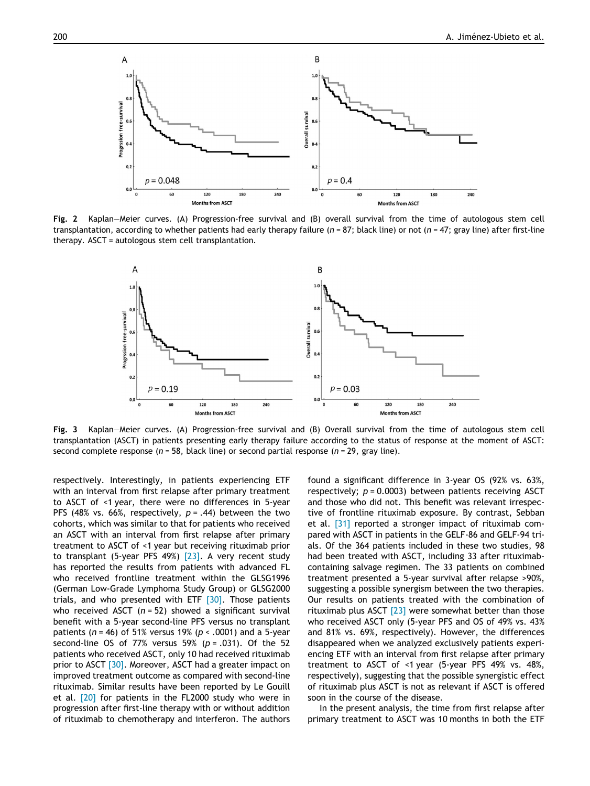<span id="page-6-0"></span>

Fig. 2 Kaplan–Meier curves. (A) Progression-free survival and (B) overall survival from the time of autologous stem cell transplantation, according to whether patients had early therapy failure ( $n = 87$ ; black line) or not ( $n = 47$ ; gray line) after first-line therapy. ASCT = autologous stem cell transplantation.



Fig. 3 Kaplan–Meier curves. (A) Progression-free survival and (B) Overall survival from the time of autologous stem cell transplantation (ASCT) in patients presenting early therapy failure according to the status of response at the moment of ASCT: second complete response ( $n = 58$ , black line) or second partial response ( $n = 29$ , gray line).

respectively. Interestingly, in patients experiencing ETF with an interval from first relapse after primary treatment to ASCT of <1 year, there were no differences in 5-year PFS (48% vs. 66%, respectively,  $p = .44$ ) between the two cohorts, which was similar to that for patients who received an ASCT with an interval from first relapse after primary treatment to ASCT of <1 year but receiving rituximab prior to transplant (5-year PFS 49%) [\[23\].](#page-8-0) A very recent study has reported the results from patients with advanced FL who received frontline treatment within the GLSG1996 (German Low-Grade Lymphoma Study Group) or GLSG2000 trials, and who presented with ETF  $[30]$ . Those patients who received ASCT  $(n = 52)$  showed a significant survival benefit with a 5-year second-line PFS versus no transplant patients ( $n = 46$ ) of 51% versus 19% ( $p < .0001$ ) and a 5-year second-line OS of 77% versus 59% ( $p = .031$ ). Of the 52 patients who received ASCT, only 10 had received rituximab prior to ASCT [\[30\]](#page-8-0). Moreover, ASCT had a greater impact on improved treatment outcome as compared with second-line rituximab. Similar results have been reported by Le Gouill et al. [\[20\]](#page-8-0) for patients in the FL2000 study who were in progression after first-line therapy with or without addition of rituximab to chemotherapy and interferon. The authors found a significant difference in 3-year OS (92% vs. 63%, respectively;  $p = 0.0003$ ) between patients receiving ASCT and those who did not. This benefit was relevant irrespective of frontline rituximab exposure. By contrast, Sebban et al. [\[31\]](#page-9-0) reported a stronger impact of rituximab compared with ASCT in patients in the GELF-86 and GELF-94 trials. Of the 364 patients included in these two studies, 98 had been treated with ASCT, including 33 after rituximabcontaining salvage regimen. The 33 patients on combined treatment presented a 5-year survival after relapse >90%, suggesting a possible synergism between the two therapies. Our results on patients treated with the combination of rituximab plus ASCT  $[23]$  were somewhat better than those who received ASCT only (5-year PFS and OS of 49% vs. 43% and 81% vs. 69%, respectively). However, the differences disappeared when we analyzed exclusively patients experiencing ETF with an interval from first relapse after primary treatment to ASCT of <1 year (5-year PFS 49% vs. 48%, respectively), suggesting that the possible synergistic effect of rituximab plus ASCT is not as relevant if ASCT is offered soon in the course of the disease.

In the present analysis, the time from first relapse after primary treatment to ASCT was 10 months in both the ETF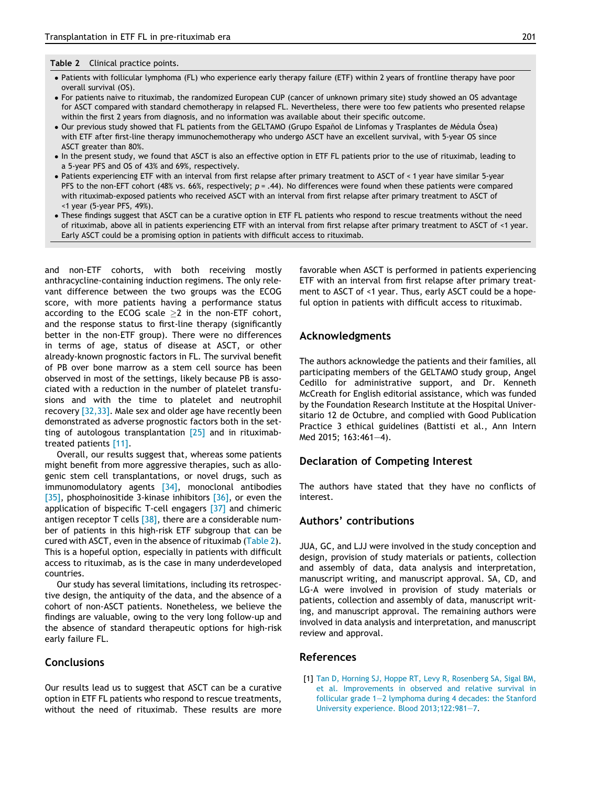#### <span id="page-7-0"></span>Table 2 Clinical practice points.

- Patients with follicular lymphoma (FL) who experience early therapy failure (ETF) within 2 years of frontline therapy have poor overall survival (OS).
- For patients naive to rituximab, the randomized European CUP (cancer of unknown primary site) study showed an OS advantage for ASCT compared with standard chemotherapy in relapsed FL. Nevertheless, there were too few patients who presented relapse within the first 2 years from diagnosis, and no information was available about their specific outcome.
- Our previous study showed that FL patients from the GELTAMO (Grupo Español de Linfomas y Trasplantes de Médula Ósea) with ETF after first-line therapy immunochemotherapy who undergo ASCT have an excellent survival, with 5-year OS since ASCT greater than 80%.
- In the present study, we found that ASCT is also an effective option in ETF FL patients prior to the use of rituximab, leading to a 5-year PFS and OS of 43% and 69%, respectively.
- Patients experiencing ETF with an interval from first relapse after primary treatment to ASCT of < 1 year have similar 5-year PFS to the non-EFT cohort (48% vs. 66%, respectively;  $p = .44$ ). No differences were found when these patients were compared with rituximab-exposed patients who received ASCT with an interval from first relapse after primary treatment to ASCT of <1 year (5-year PFS, 49%).
- These findings suggest that ASCT can be a curative option in ETF FL patients who respond to rescue treatments without the need of rituximab, above all in patients experiencing ETF with an interval from first relapse after primary treatment to ASCT of <1 year. Early ASCT could be a promising option in patients with difficult access to rituximab.

and non-ETF cohorts, with both receiving mostly anthracycline-containing induction regimens. The only relevant difference between the two groups was the ECOG score, with more patients having a performance status according to the ECOG scale  $\geq 2$  in the non-ETF cohort, and the response status to first-line therapy (significantly better in the non-ETF group). There were no differences in terms of age, status of disease at ASCT, or other already-known prognostic factors in FL. The survival benefit of PB over bone marrow as a stem cell source has been observed in most of the settings, likely because PB is associated with a reduction in the number of platelet transfusions and with the time to platelet and neutrophil recovery [\[32,33\].](#page-9-0) Male sex and older age have recently been demonstrated as adverse prognostic factors both in the setting of autologous transplantation [\[25\]](#page-8-0) and in rituximabtreated patients [\[11\].](#page-8-0)

Overall, our results suggest that, whereas some patients might benefit from more aggressive therapies, such as allogenic stem cell transplantations, or novel drugs, such as immunomodulatory agents [\[34\]](#page-9-0), monoclonal antibodies [\[35\]](#page-9-0), phosphoinositide 3-kinase inhibitors [\[36\]](#page-9-0), or even the application of bispecific T-cell engagers [\[37\]](#page-9-0) and chimeric antigen receptor T cells  $[38]$ , there are a considerable number of patients in this high-risk ETF subgroup that can be cured with ASCT, even in the absence of rituximab (Table 2). This is a hopeful option, especially in patients with difficult access to rituximab, as is the case in many underdeveloped countries.

Our study has several limitations, including its retrospective design, the antiquity of the data, and the absence of a cohort of non-ASCT patients. Nonetheless, we believe the findings are valuable, owing to the very long follow-up and the absence of standard therapeutic options for high-risk early failure FL.

# **Conclusions**

Our results lead us to suggest that ASCT can be a curative option in ETF FL patients who respond to rescue treatments, without the need of rituximab. These results are more favorable when ASCT is performed in patients experiencing ETF with an interval from first relapse after primary treatment to ASCT of <1 year. Thus, early ASCT could be a hopeful option in patients with difficult access to rituximab.

# Acknowledgments

The authors acknowledge the patients and their families, all participating members of the GELTAMO study group, Angel Cedillo for administrative support, and Dr. Kenneth McCreath for English editorial assistance, which was funded by the Foundation Research Institute at the Hospital Universitario 12 de Octubre, and complied with Good Publication Practice 3 ethical guidelines (Battisti et al., Ann Intern Med 2015; 163:461–4).

# Declaration of Competing Interest

The authors have stated that they have no conflicts of interest.

# Authors' contributions

JUA, GC, and LJJ were involved in the study conception and design, provision of study materials or patients, collection and assembly of data, data analysis and interpretation, manuscript writing, and manuscript approval. SA, CD, and LG-A were involved in provision of study materials or patients, collection and assembly of data, manuscript writing, and manuscript approval. The remaining authors were involved in data analysis and interpretation, and manuscript review and approval.

## References

[1] [Tan D, Horning SJ, Hoppe RT, Levy R, Rosenberg SA, Sigal BM,](http://refhub.elsevier.com/S1658-3876(19)30052-4/h0005) [et al. Improvements in observed and relative survival in](http://refhub.elsevier.com/S1658-3876(19)30052-4/h0005) [follicular grade 1–2 lymphoma during 4 decades: the Stanford](http://refhub.elsevier.com/S1658-3876(19)30052-4/h0005) [University experience. Blood 2013;122:981–7.](http://refhub.elsevier.com/S1658-3876(19)30052-4/h0005)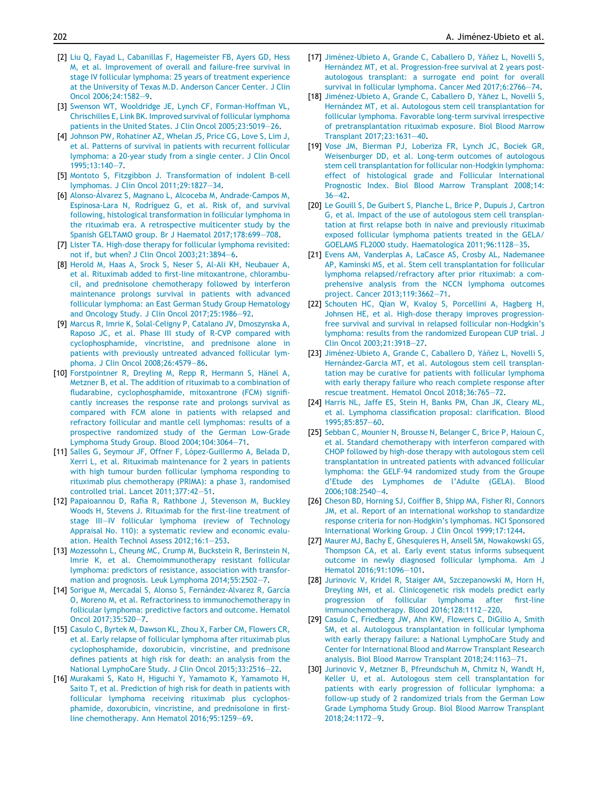- <span id="page-8-0"></span>[2] [Liu Q, Fayad L, Cabanillas F, Hagemeister FB, Ayers GD, Hess](http://refhub.elsevier.com/S1658-3876(19)30052-4/h0010) [M, et al. Improvement of overall and failure-free survival in](http://refhub.elsevier.com/S1658-3876(19)30052-4/h0010) [stage IV follicular lymphoma: 25 years of treatment experience](http://refhub.elsevier.com/S1658-3876(19)30052-4/h0010) [at the University of Texas M.D. Anderson Cancer Center. J Clin](http://refhub.elsevier.com/S1658-3876(19)30052-4/h0010) [Oncol 2006;24:1582–9.](http://refhub.elsevier.com/S1658-3876(19)30052-4/h0010)
- [3] [Swenson WT, Wooldridge JE, Lynch CF, Forman-Hoffman VL,](http://refhub.elsevier.com/S1658-3876(19)30052-4/h0015) [Chrischilles E, Link BK. Improved survival of follicular lymphoma](http://refhub.elsevier.com/S1658-3876(19)30052-4/h0015) [patients in the United States. J Clin Oncol 2005;23:5019–26.](http://refhub.elsevier.com/S1658-3876(19)30052-4/h0015)
- [4] [Johnson PW, Rohatiner AZ, Whelan JS, Price CG, Love S, Lim J,](http://refhub.elsevier.com/S1658-3876(19)30052-4/h0020) [et al. Patterns of survival in patients with recurrent follicular](http://refhub.elsevier.com/S1658-3876(19)30052-4/h0020) [lymphoma: a 20-year study from a single center. J Clin Oncol](http://refhub.elsevier.com/S1658-3876(19)30052-4/h0020)  $1995:13:140 - 7$
- [5] [Montoto S, Fitzgibbon J. Transformation of indolent B-cell](http://refhub.elsevier.com/S1658-3876(19)30052-4/h0025) [lymphomas. J Clin Oncol 2011;29:1827–34](http://refhub.elsevier.com/S1658-3876(19)30052-4/h0025).
- [6] Alonso-Álvarez S, Magnano L, Alcoceba M, Andrade-Campos M, Espinosa-Lara N, Rodríguez G, et al. Risk of, and survival [following, histological transformation in follicular lymphoma in](http://refhub.elsevier.com/S1658-3876(19)30052-4/h0030) [the rituximab era. A retrospective multicenter study by the](http://refhub.elsevier.com/S1658-3876(19)30052-4/h0030) [Spanish GELTAMO group. Br J Haematol 2017;178:699–708](http://refhub.elsevier.com/S1658-3876(19)30052-4/h0030).
- [7] [Lister TA. High-dose therapy for follicular lymphoma revisited:](http://refhub.elsevier.com/S1658-3876(19)30052-4/h0035) [not if, but when? J Clin Oncol 2003;21:3894–6.](http://refhub.elsevier.com/S1658-3876(19)30052-4/h0035)
- [8] [Herold M, Haas A, Srock S, Neser S, Al-Ali KH, Neubauer A,](http://refhub.elsevier.com/S1658-3876(19)30052-4/h0040) [et al. Rituximab added to first-line mitoxantrone, chlorambu](http://refhub.elsevier.com/S1658-3876(19)30052-4/h0040)[cil, and prednisolone chemotherapy followed by interferon](http://refhub.elsevier.com/S1658-3876(19)30052-4/h0040) [maintenance prolongs survival in patients with advanced](http://refhub.elsevier.com/S1658-3876(19)30052-4/h0040) [follicular lymphoma: an East German Study Group Hematology](http://refhub.elsevier.com/S1658-3876(19)30052-4/h0040) [and Oncology Study. J Clin Oncol 2017;25:1986–92](http://refhub.elsevier.com/S1658-3876(19)30052-4/h0040).
- [9] [Marcus R, Imrie K, Solal-Celigny P, Catalano JV, Dmoszynska A,](http://refhub.elsevier.com/S1658-3876(19)30052-4/h0045) [Raposo JC, et al. Phase III study of R-CVP compared with](http://refhub.elsevier.com/S1658-3876(19)30052-4/h0045) [cyclophosphamide, vincristine, and prednisone alone in](http://refhub.elsevier.com/S1658-3876(19)30052-4/h0045) [patients with previously untreated advanced follicular lym](http://refhub.elsevier.com/S1658-3876(19)30052-4/h0045)[phoma. J Clin Oncol 2008;26:4579–86](http://refhub.elsevier.com/S1658-3876(19)30052-4/h0045).
- [10] Forstpointner R, Dreyling M, Repp R, Hermann S, Hänel A, [Metzner B, et al. The addition of rituximab to a combination of](http://refhub.elsevier.com/S1658-3876(19)30052-4/h0050) [fludarabine, cyclophosphamide, mitoxantrone \(FCM\) signifi](http://refhub.elsevier.com/S1658-3876(19)30052-4/h0050)[cantly increases the response rate and prolongs survival as](http://refhub.elsevier.com/S1658-3876(19)30052-4/h0050) [compared with FCM alone in patients with relapsed and](http://refhub.elsevier.com/S1658-3876(19)30052-4/h0050) [refractory follicular and mantle cell lymphomas: results of a](http://refhub.elsevier.com/S1658-3876(19)30052-4/h0050) [prospective randomized study of the German Low-Grade](http://refhub.elsevier.com/S1658-3876(19)30052-4/h0050) [Lymphoma Study Group. Blood 2004;104:3064–71](http://refhub.elsevier.com/S1658-3876(19)30052-4/h0050).
- [11] Salles G, Seymour JF, Offner F, López-Guillermo A, Belada D, [Xerri L, et al. Rituximab maintenance for 2 years in patients](http://refhub.elsevier.com/S1658-3876(19)30052-4/h0055) [with high tumour burden follicular lymphoma responding to](http://refhub.elsevier.com/S1658-3876(19)30052-4/h0055) [rituximab plus chemotherapy \(PRIMA\): a phase 3, randomised](http://refhub.elsevier.com/S1658-3876(19)30052-4/h0055) [controlled trial. Lancet 2011;377:42–51](http://refhub.elsevier.com/S1658-3876(19)30052-4/h0055).
- [12] [Papaioannou D, Rafia R, Rathbone J, Stevenson M, Buckley](http://refhub.elsevier.com/S1658-3876(19)30052-4/h0060) [Woods H, Stevens J. Rituximab for the first-line treatment of](http://refhub.elsevier.com/S1658-3876(19)30052-4/h0060) [stage III–IV follicular lymphoma \(review of Technology](http://refhub.elsevier.com/S1658-3876(19)30052-4/h0060) [Appraisal No. 110\): a systematic review and economic evalu](http://refhub.elsevier.com/S1658-3876(19)30052-4/h0060)[ation. Health Technol Assess 2012;16:1–253](http://refhub.elsevier.com/S1658-3876(19)30052-4/h0060).
- [13] [Mozessohn L, Cheung MC, Crump M, Buckstein R, Berinstein N,](http://refhub.elsevier.com/S1658-3876(19)30052-4/h0065) [Imrie K, et al. Chemoimmunotherapy resistant follicular](http://refhub.elsevier.com/S1658-3876(19)30052-4/h0065) [lymphoma: predictors of resistance, association with transfor](http://refhub.elsevier.com/S1658-3876(19)30052-4/h0065)[mation and prognosis. Leuk Lymphoma 2014;55:2502–7.](http://refhub.elsevier.com/S1658-3876(19)30052-4/h0065)
- [14] Sorigue M, Mercadal S, Alonso S, Fernández-Álvarez R, García [O, Moreno M, et al. Refractoriness to immunochemotherapy in](http://refhub.elsevier.com/S1658-3876(19)30052-4/h0070) [follicular lymphoma: predictive factors and outcome. Hematol](http://refhub.elsevier.com/S1658-3876(19)30052-4/h0070) [Oncol 2017;35:520–7](http://refhub.elsevier.com/S1658-3876(19)30052-4/h0070).
- [15] [Casulo C, Byrtek M, Dawson KL, Zhou X, Farber CM, Flowers CR,](http://refhub.elsevier.com/S1658-3876(19)30052-4/h0075) [et al. Early relapse of follicular lymphoma after rituximab plus](http://refhub.elsevier.com/S1658-3876(19)30052-4/h0075) [cyclophosphamide, doxorubicin, vincristine, and prednisone](http://refhub.elsevier.com/S1658-3876(19)30052-4/h0075) [defines patients at high risk for death: an analysis from the](http://refhub.elsevier.com/S1658-3876(19)30052-4/h0075) [National LymphoCare Study. J Clin Oncol 2015;33:2516–22.](http://refhub.elsevier.com/S1658-3876(19)30052-4/h0075)
- [16] [Murakami S, Kato H, Higuchi Y, Yamamoto K, Yamamoto H,](http://refhub.elsevier.com/S1658-3876(19)30052-4/h0080) [Saito T, et al. Prediction of high risk for death in patients with](http://refhub.elsevier.com/S1658-3876(19)30052-4/h0080) [follicular lymphoma receiving rituximab plus cyclophos](http://refhub.elsevier.com/S1658-3876(19)30052-4/h0080)[phamide, doxorubicin, vincristine, and prednisolone in first](http://refhub.elsevier.com/S1658-3876(19)30052-4/h0080)[line chemotherapy. Ann Hematol 2016;95:1259–69](http://refhub.elsevier.com/S1658-3876(19)30052-4/h0080).
- [17] Jiménez-Ubieto A, Grande C, Caballero D, Yáñez L, Novelli S, Hernández MT, et al. Progression-free survival at 2 years post[autologous transplant: a surrogate end point for overall](http://refhub.elsevier.com/S1658-3876(19)30052-4/h0085) [survival in follicular lymphoma. Cancer Med 2017;6:2766–74](http://refhub.elsevier.com/S1658-3876(19)30052-4/h0085).
- [18] Jiménez-Ubieto A, Grande C, Caballero D, Yáñez L, Novelli S, Hernández [MT, et al. Autologous stem cell transplantation for](http://refhub.elsevier.com/S1658-3876(19)30052-4/h0090) [follicular lymphoma. Favorable long-term survival irrespective](http://refhub.elsevier.com/S1658-3876(19)30052-4/h0090) [of pretransplantation rituximab exposure. Biol Blood Marrow](http://refhub.elsevier.com/S1658-3876(19)30052-4/h0090) [Transplant 2017;23:1631–40.](http://refhub.elsevier.com/S1658-3876(19)30052-4/h0090)
- [19] [Vose JM, Bierman PJ, Loberiza FR, Lynch JC, Bociek GR,](http://refhub.elsevier.com/S1658-3876(19)30052-4/h0095) [Weisenburger DD, et al. Long-term outcomes of autologous](http://refhub.elsevier.com/S1658-3876(19)30052-4/h0095) [stem cell transplantation for follicular non-Hodgkin lymphoma:](http://refhub.elsevier.com/S1658-3876(19)30052-4/h0095) [effect of histological grade and Follicular International](http://refhub.elsevier.com/S1658-3876(19)30052-4/h0095) [Prognostic Index. Biol Blood Marrow Transplant 2008;14:](http://refhub.elsevier.com/S1658-3876(19)30052-4/h0095)  $36 - 42$
- [20] [Le Gouill S, De Guibert S, Planche L, Brice P, Dupuis J, Cartron](http://refhub.elsevier.com/S1658-3876(19)30052-4/h0100) [G, et al. Impact of the use of autologous stem cell transplan](http://refhub.elsevier.com/S1658-3876(19)30052-4/h0100)[tation at first relapse both in naive and previously rituximab](http://refhub.elsevier.com/S1658-3876(19)30052-4/h0100) [exposed follicular lymphoma patients treated in the GELA/](http://refhub.elsevier.com/S1658-3876(19)30052-4/h0100) [GOELAMS FL2000 study. Haematologica 2011;96:1128–35.](http://refhub.elsevier.com/S1658-3876(19)30052-4/h0100)
- [21] [Evens AM, Vanderplas A, LaCasce AS, Crosby AL, Nademanee](http://refhub.elsevier.com/S1658-3876(19)30052-4/h0105) [AP, Kaminski MS, et al. Stem cell transplantation for follicular](http://refhub.elsevier.com/S1658-3876(19)30052-4/h0105) [lymphoma relapsed/refractory after prior rituximab: a com](http://refhub.elsevier.com/S1658-3876(19)30052-4/h0105)[prehensive analysis from the NCCN lymphoma outcomes](http://refhub.elsevier.com/S1658-3876(19)30052-4/h0105) [project. Cancer 2013;119:3662–71](http://refhub.elsevier.com/S1658-3876(19)30052-4/h0105).
- [22] [Schouten HC, Qian W, Kvaloy S, Porcellini A, Hagberg H,](http://refhub.elsevier.com/S1658-3876(19)30052-4/h0110) [Johnsen HE, et al. High-dose therapy improves progression](http://refhub.elsevier.com/S1658-3876(19)30052-4/h0110)[free survival and survival in relapsed follicular non-Hodgkin's](http://refhub.elsevier.com/S1658-3876(19)30052-4/h0110) [lymphoma: results from the randomized European CUP trial. J](http://refhub.elsevier.com/S1658-3876(19)30052-4/h0110) [Clin Oncol 2003;21:3918–27.](http://refhub.elsevier.com/S1658-3876(19)30052-4/h0110)
- [23] Jiménez-Ubieto A, Grande C, Caballero D, Yáñez L, Novelli S, Hernández-Garcia MT, et al. Autologous stem cell transplan[tation may be curative for patients with follicular lymphoma](http://refhub.elsevier.com/S1658-3876(19)30052-4/h0115) [with early therapy failure who reach complete response after](http://refhub.elsevier.com/S1658-3876(19)30052-4/h0115) [rescue treatment. Hematol Oncol 2018;36:765–72](http://refhub.elsevier.com/S1658-3876(19)30052-4/h0115).
- [24] [Harris NL, Jaffe ES, Stein H, Banks PM, Chan JK, Cleary ML,](http://refhub.elsevier.com/S1658-3876(19)30052-4/h0120) [et al. Lymphoma classification proposal: clarification. Blood](http://refhub.elsevier.com/S1658-3876(19)30052-4/h0120) [1995;85:857–60](http://refhub.elsevier.com/S1658-3876(19)30052-4/h0120).
- [25] [Sebban C, Mounier N, Brousse N, Belanger C, Brice P, Haioun C,](http://refhub.elsevier.com/S1658-3876(19)30052-4/h0125) [et al. Standard chemotherapy with interferon compared with](http://refhub.elsevier.com/S1658-3876(19)30052-4/h0125) [CHOP followed by high-dose therapy with autologous stem cell](http://refhub.elsevier.com/S1658-3876(19)30052-4/h0125) [transplantation in untreated patients with advanced follicular](http://refhub.elsevier.com/S1658-3876(19)30052-4/h0125) [lymphoma: the GELF-94 randomized study from the Groupe](http://refhub.elsevier.com/S1658-3876(19)30052-4/h0125) [d'Etude des Lymphomes de l'Adulte \(GELA\). Blood](http://refhub.elsevier.com/S1658-3876(19)30052-4/h0125) [2006;108:2540–4](http://refhub.elsevier.com/S1658-3876(19)30052-4/h0125).
- [26] [Cheson BD, Horning SJ, Coiffier B, Shipp MA, Fisher RI, Connors](http://refhub.elsevier.com/S1658-3876(19)30052-4/h0130) [JM, et al. Report of an international workshop to standardize](http://refhub.elsevier.com/S1658-3876(19)30052-4/h0130) [response criteria for non-Hodgkin's lymphomas. NCI Sponsored](http://refhub.elsevier.com/S1658-3876(19)30052-4/h0130) [International Working Group. J Clin Oncol 1999;17:1244.](http://refhub.elsevier.com/S1658-3876(19)30052-4/h0130)
- [27] [Maurer MJ, Bachy E, Ghesquieres H, Ansell SM, Nowakowski GS,](http://refhub.elsevier.com/S1658-3876(19)30052-4/h0135) [Thompson CA, et al. Early event status informs subsequent](http://refhub.elsevier.com/S1658-3876(19)30052-4/h0135) [outcome in newly diagnosed follicular lymphoma. Am J](http://refhub.elsevier.com/S1658-3876(19)30052-4/h0135) [Hematol 2016;91:1096–101](http://refhub.elsevier.com/S1658-3876(19)30052-4/h0135).
- [28] [Jurinovic V, Kridel R, Staiger AM, Szczepanowski M, Horn H,](http://refhub.elsevier.com/S1658-3876(19)30052-4/h0140) [Dreyling MH, et al. Clinicogenetic risk models predict early](http://refhub.elsevier.com/S1658-3876(19)30052-4/h0140) [progression of follicular lymphoma after first-line](http://refhub.elsevier.com/S1658-3876(19)30052-4/h0140) [immunochemotherapy. Blood 2016;128:1112–220.](http://refhub.elsevier.com/S1658-3876(19)30052-4/h0140)
- [29] [Casulo C, Friedberg JW, Ahn KW, Flowers C, DiGilio A, Smith](http://refhub.elsevier.com/S1658-3876(19)30052-4/h0145) [SM, et al. Autologous transplantation in follicular lymphoma](http://refhub.elsevier.com/S1658-3876(19)30052-4/h0145) [with early therapy failure: a National LymphoCare Study and](http://refhub.elsevier.com/S1658-3876(19)30052-4/h0145) [Center for International Blood and Marrow Transplant Research](http://refhub.elsevier.com/S1658-3876(19)30052-4/h0145) [analysis. Biol Blood Marrow Transplant 2018;24:1163–71.](http://refhub.elsevier.com/S1658-3876(19)30052-4/h0145)
- [30] [Jurinovic V, Metzner B, Pfreundschuh M, Chmitz N, Wandt H,](http://refhub.elsevier.com/S1658-3876(19)30052-4/h0150) [Keller U, et al. Autologous stem cell transplantation for](http://refhub.elsevier.com/S1658-3876(19)30052-4/h0150) [patients with early progression of follicular lymphoma: a](http://refhub.elsevier.com/S1658-3876(19)30052-4/h0150) [follow-up study of 2 randomized trials from the German Low](http://refhub.elsevier.com/S1658-3876(19)30052-4/h0150) [Grade Lymphoma Study Group. Biol Blood Marrow Transplant](http://refhub.elsevier.com/S1658-3876(19)30052-4/h0150) [2018;24:1172–9](http://refhub.elsevier.com/S1658-3876(19)30052-4/h0150).